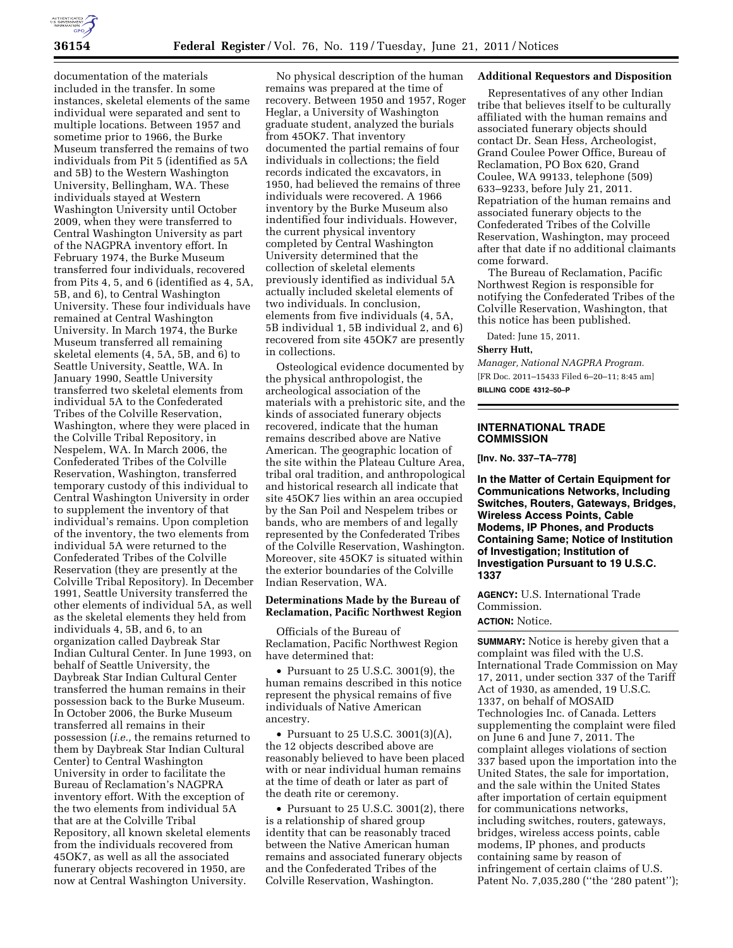

documentation of the materials included in the transfer. In some instances, skeletal elements of the same individual were separated and sent to multiple locations. Between 1957 and sometime prior to 1966, the Burke Museum transferred the remains of two individuals from Pit 5 (identified as 5A and 5B) to the Western Washington University, Bellingham, WA. These individuals stayed at Western Washington University until October 2009, when they were transferred to Central Washington University as part of the NAGPRA inventory effort. In February 1974, the Burke Museum transferred four individuals, recovered from Pits 4, 5, and 6 (identified as 4, 5A, 5B, and 6), to Central Washington University. These four individuals have remained at Central Washington University. In March 1974, the Burke Museum transferred all remaining skeletal elements (4, 5A, 5B, and 6) to Seattle University, Seattle, WA. In January 1990, Seattle University transferred two skeletal elements from individual 5A to the Confederated Tribes of the Colville Reservation, Washington, where they were placed in the Colville Tribal Repository, in Nespelem, WA. In March 2006, the Confederated Tribes of the Colville Reservation, Washington, transferred temporary custody of this individual to Central Washington University in order to supplement the inventory of that individual's remains. Upon completion of the inventory, the two elements from individual 5A were returned to the Confederated Tribes of the Colville Reservation (they are presently at the Colville Tribal Repository). In December 1991, Seattle University transferred the other elements of individual 5A, as well as the skeletal elements they held from individuals 4, 5B, and 6, to an organization called Daybreak Star Indian Cultural Center. In June 1993, on behalf of Seattle University, the Daybreak Star Indian Cultural Center transferred the human remains in their possession back to the Burke Museum. In October 2006, the Burke Museum transferred all remains in their possession (*i.e.,* the remains returned to them by Daybreak Star Indian Cultural Center) to Central Washington University in order to facilitate the Bureau of Reclamation's NAGPRA inventory effort. With the exception of the two elements from individual 5A that are at the Colville Tribal Repository, all known skeletal elements from the individuals recovered from 45OK7, as well as all the associated funerary objects recovered in 1950, are now at Central Washington University.

No physical description of the human remains was prepared at the time of recovery. Between 1950 and 1957, Roger Heglar, a University of Washington graduate student, analyzed the burials from 45OK7. That inventory documented the partial remains of four individuals in collections; the field records indicated the excavators, in 1950, had believed the remains of three individuals were recovered. A 1966 inventory by the Burke Museum also indentified four individuals. However, the current physical inventory completed by Central Washington University determined that the collection of skeletal elements previously identified as individual 5A actually included skeletal elements of two individuals. In conclusion, elements from five individuals (4, 5A, 5B individual 1, 5B individual 2, and 6) recovered from site 45OK7 are presently in collections.

Osteological evidence documented by the physical anthropologist, the archeological association of the materials with a prehistoric site, and the kinds of associated funerary objects recovered, indicate that the human remains described above are Native American. The geographic location of the site within the Plateau Culture Area, tribal oral tradition, and anthropological and historical research all indicate that site 45OK7 lies within an area occupied by the San Poil and Nespelem tribes or bands, who are members of and legally represented by the Confederated Tribes of the Colville Reservation, Washington. Moreover, site 45OK7 is situated within the exterior boundaries of the Colville Indian Reservation, WA.

## **Determinations Made by the Bureau of Reclamation, Pacific Northwest Region**

Officials of the Bureau of Reclamation, Pacific Northwest Region have determined that:

• Pursuant to 25 U.S.C. 3001(9), the human remains described in this notice represent the physical remains of five individuals of Native American ancestry.

• Pursuant to 25 U.S.C. 3001(3)(A), the 12 objects described above are reasonably believed to have been placed with or near individual human remains at the time of death or later as part of the death rite or ceremony.

• Pursuant to 25 U.S.C. 3001(2), there is a relationship of shared group identity that can be reasonably traced between the Native American human remains and associated funerary objects and the Confederated Tribes of the Colville Reservation, Washington.

## **Additional Requestors and Disposition**

Representatives of any other Indian tribe that believes itself to be culturally affiliated with the human remains and associated funerary objects should contact Dr. Sean Hess, Archeologist, Grand Coulee Power Office, Bureau of Reclamation, PO Box 620, Grand Coulee, WA 99133, telephone (509) 633–9233, before July 21, 2011. Repatriation of the human remains and associated funerary objects to the Confederated Tribes of the Colville Reservation, Washington, may proceed after that date if no additional claimants come forward.

The Bureau of Reclamation, Pacific Northwest Region is responsible for notifying the Confederated Tribes of the Colville Reservation, Washington, that this notice has been published.

Dated: June 15, 2011.

## **Sherry Hutt,**

*Manager, National NAGPRA Program.*  [FR Doc. 2011–15433 Filed 6–20–11; 8:45 am] **BILLING CODE 4312–50–P** 

## **INTERNATIONAL TRADE COMMISSION**

**[Inv. No. 337–TA–778]** 

**In the Matter of Certain Equipment for Communications Networks, Including Switches, Routers, Gateways, Bridges, Wireless Access Points, Cable Modems, IP Phones, and Products Containing Same; Notice of Institution of Investigation; Institution of Investigation Pursuant to 19 U.S.C. 1337** 

**AGENCY:** U.S. International Trade Commission.

## **ACTION:** Notice.

**SUMMARY:** Notice is hereby given that a complaint was filed with the U.S. International Trade Commission on May 17, 2011, under section 337 of the Tariff Act of 1930, as amended, 19 U.S.C. 1337, on behalf of MOSAID Technologies Inc. of Canada. Letters supplementing the complaint were filed on June 6 and June 7, 2011. The complaint alleges violations of section 337 based upon the importation into the United States, the sale for importation, and the sale within the United States after importation of certain equipment for communications networks, including switches, routers, gateways, bridges, wireless access points, cable modems, IP phones, and products containing same by reason of infringement of certain claims of U.S. Patent No. 7,035,280 (''the '280 patent'');